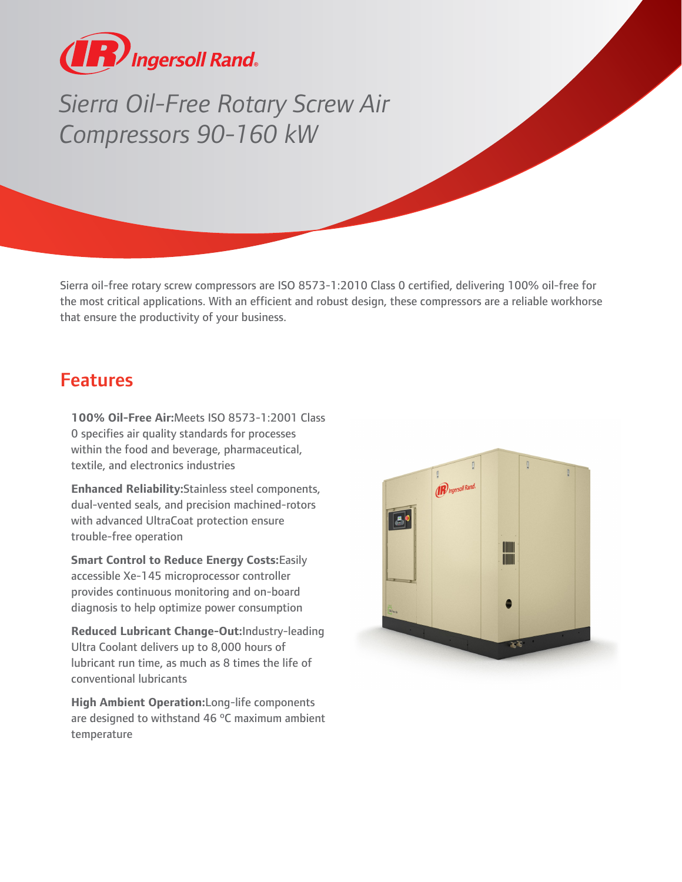

## *Sierra Oil-Free Rotary Screw Air Compressors 90-160 kW*

Sierra oil-free rotary screw compressors are ISO 8573-1:2010 Class 0 certified, delivering 100% oil-free for the most critical applications. With an efficient and robust design, these compressors are a reliable workhorse that ensure the productivity of your business.

## Features

**100% Oil-Free Air:**Meets ISO 8573-1:2001 Class 0 specifies air quality standards for processes within the food and beverage, pharmaceutical, textile, and electronics industries

**Enhanced Reliability:**Stainless steel components, dual-vented seals, and precision machined-rotors with advanced UltraCoat protection ensure trouble-free operation

**Smart Control to Reduce Energy Costs:**Easily accessible Xe-145 microprocessor controller provides continuous monitoring and on-board diagnosis to help optimize power consumption

**Reduced Lubricant Change-Out:**Industry-leading Ultra Coolant delivers up to 8,000 hours of lubricant run time, as much as 8 times the life of conventional lubricants

**High Ambient Operation:**Long-life components are designed to withstand 46 ºC maximum ambient temperature

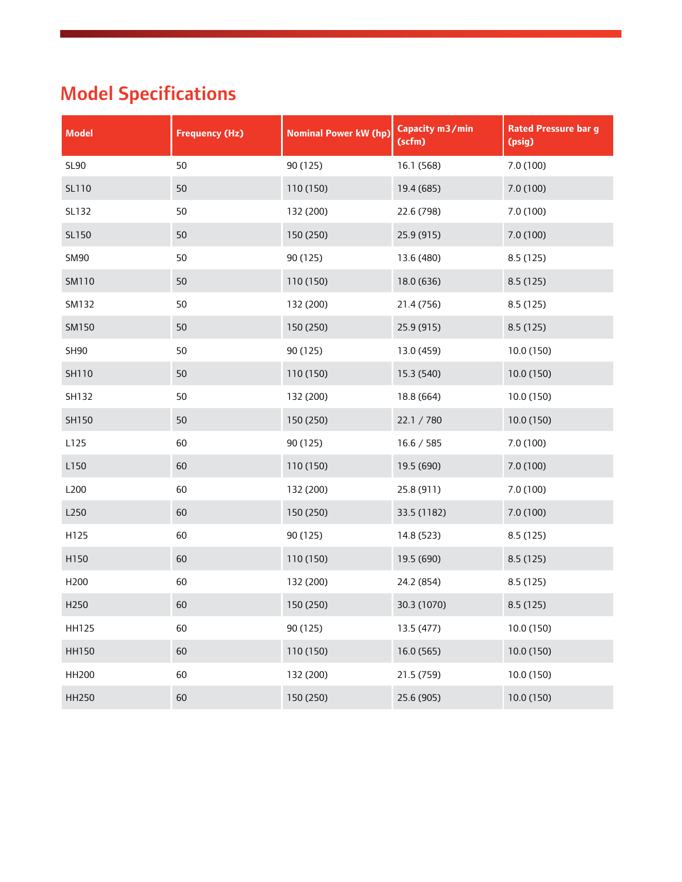## Model Specifications

| <b>Model</b> | <b>Frequency (Hz)</b> | <b>Nominal Power kW (hp)</b> | Capacity m3/min<br>(scfm) | <b>Rated Pressure bar g</b><br>(psig) |
|--------------|-----------------------|------------------------------|---------------------------|---------------------------------------|
| <b>SL90</b>  | 50                    | 90 (125)                     | 16.1 (568)                | 7.0 (100)                             |
| SL110        | 50                    | 110 (150)                    | 19.4 (685)                | 7.0 (100)                             |
| SL132        | 50                    | 132 (200)                    | 22.6 (798)                | 7.0(100)                              |
| SL150        | 50                    | 150 (250)                    | 25.9 (915)                | 7.0 (100)                             |
| <b>SM90</b>  | 50                    | 90 (125)                     | 13.6 (480)                | 8.5 (125)                             |
| SM110        | 50                    | 110 (150)                    | 18.0 (636)                | 8.5 (125)                             |
| SM132        | 50                    | 132 (200)                    | 21.4 (756)                | 8.5 (125)                             |
| SM150        | 50                    | 150 (250)                    | 25.9 (915)                | 8.5 (125)                             |
| SH90         | 50                    | 90 (125)                     | 13.0 (459)                | 10.0 (150)                            |
| SH110        | 50                    | 110 (150)                    | 15.3 (540)                | 10.0 (150)                            |
| SH132        | 50                    | 132 (200)                    | 18.8 (664)                | 10.0 (150)                            |
| SH150        | 50                    | 150 (250)                    | 22.1 / 780                | 10.0 (150)                            |
| L125         | 60                    | 90 (125)                     | 16.6 / 585                | 7.0 (100)                             |
| L150         | 60                    | 110 (150)                    | 19.5 (690)                | 7.0 (100)                             |
| L200         | 60                    | 132 (200)                    | 25.8 (911)                | 7.0 (100)                             |
| L250         | 60                    | 150 (250)                    | 33.5 (1182)               | 7.0 (100)                             |
| H125         | 60                    | 90 (125)                     | 14.8 (523)                | 8.5 (125)                             |
| H150         | 60                    | 110 (150)                    | 19.5 (690)                | 8.5 (125)                             |
| H200         | 60                    | 132 (200)                    | 24.2 (854)                | 8.5 (125)                             |
| H250         | 60                    | 150 (250)                    | 30.3 (1070)               | 8.5 (125)                             |
| <b>HH125</b> | 60                    | 90 (125)                     | 13.5 (477)                | 10.0 (150)                            |
| <b>HH150</b> | 60                    | 110 (150)                    | 16.0 (565)                | 10.0 (150)                            |
| HH200        | 60                    | 132 (200)                    | 21.5 (759)                | 10.0 (150)                            |
| <b>HH250</b> | 60                    | 150 (250)                    | 25.6 (905)                | 10.0 (150)                            |